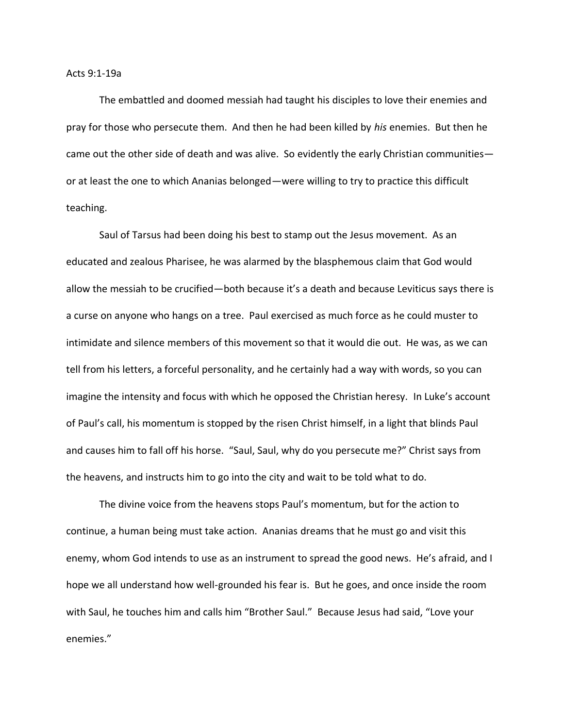Acts 9:1-19a

The embattled and doomed messiah had taught his disciples to love their enemies and pray for those who persecute them. And then he had been killed by *his* enemies. But then he came out the other side of death and was alive. So evidently the early Christian communities or at least the one to which Ananias belonged—were willing to try to practice this difficult teaching.

Saul of Tarsus had been doing his best to stamp out the Jesus movement. As an educated and zealous Pharisee, he was alarmed by the blasphemous claim that God would allow the messiah to be crucified—both because it's a death and because Leviticus says there is a curse on anyone who hangs on a tree. Paul exercised as much force as he could muster to intimidate and silence members of this movement so that it would die out. He was, as we can tell from his letters, a forceful personality, and he certainly had a way with words, so you can imagine the intensity and focus with which he opposed the Christian heresy. In Luke's account of Paul's call, his momentum is stopped by the risen Christ himself, in a light that blinds Paul and causes him to fall off his horse. "Saul, Saul, why do you persecute me?" Christ says from the heavens, and instructs him to go into the city and wait to be told what to do.

The divine voice from the heavens stops Paul's momentum, but for the action to continue, a human being must take action. Ananias dreams that he must go and visit this enemy, whom God intends to use as an instrument to spread the good news. He's afraid, and I hope we all understand how well-grounded his fear is. But he goes, and once inside the room with Saul, he touches him and calls him "Brother Saul." Because Jesus had said, "Love your enemies."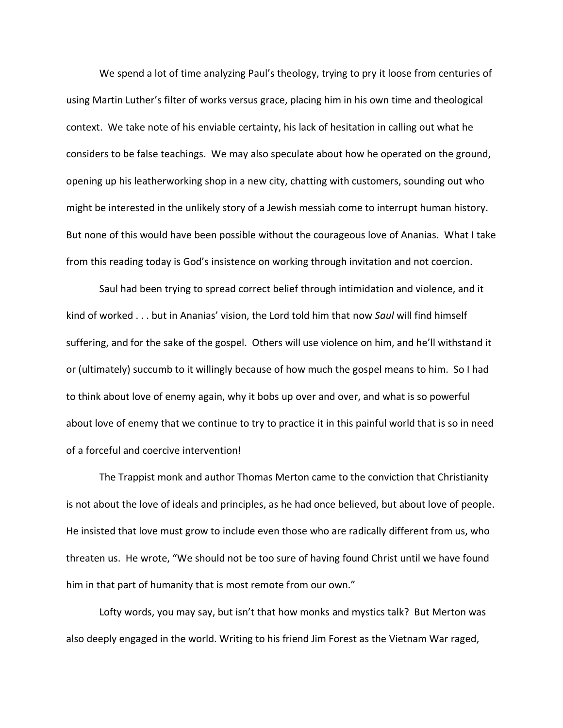We spend a lot of time analyzing Paul's theology, trying to pry it loose from centuries of using Martin Luther's filter of works versus grace, placing him in his own time and theological context. We take note of his enviable certainty, his lack of hesitation in calling out what he considers to be false teachings. We may also speculate about how he operated on the ground, opening up his leatherworking shop in a new city, chatting with customers, sounding out who might be interested in the unlikely story of a Jewish messiah come to interrupt human history. But none of this would have been possible without the courageous love of Ananias. What I take from this reading today is God's insistence on working through invitation and not coercion.

Saul had been trying to spread correct belief through intimidation and violence, and it kind of worked . . . but in Ananias' vision, the Lord told him that now *Saul* will find himself suffering, and for the sake of the gospel. Others will use violence on him, and he'll withstand it or (ultimately) succumb to it willingly because of how much the gospel means to him. So I had to think about love of enemy again, why it bobs up over and over, and what is so powerful about love of enemy that we continue to try to practice it in this painful world that is so in need of a forceful and coercive intervention!

The Trappist monk and author Thomas Merton came to the conviction that Christianity is not about the love of ideals and principles, as he had once believed, but about love of people. He insisted that love must grow to include even those who are radically different from us, who threaten us. He wrote, "We should not be too sure of having found Christ until we have found him in that part of humanity that is most remote from our own."

Lofty words, you may say, but isn't that how monks and mystics talk? But Merton was also deeply engaged in the world. Writing to his friend Jim Forest as the Vietnam War raged,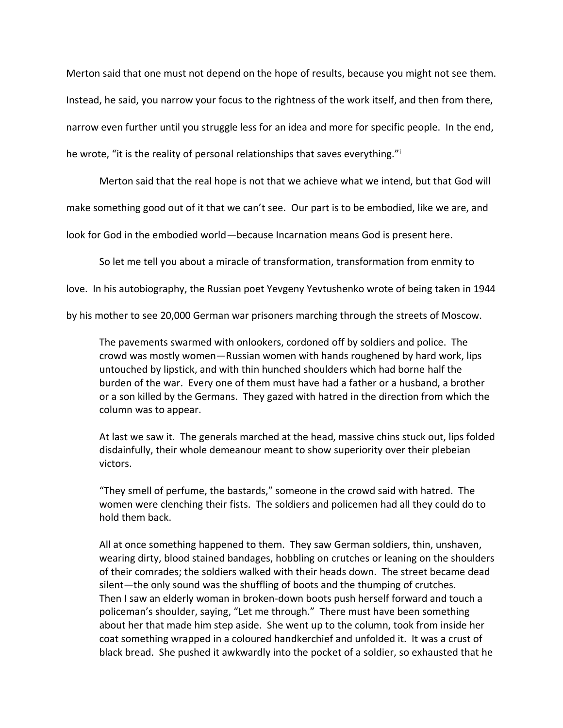Merton said that one must not depend on the hope of results, because you might not see them. Instead, he said, you narrow your focus to the rightness of the work itself, and then from there, narrow even further until you struggle less for an idea and more for specific people. In the end, he wrote, "it is the reality of personal relationships that saves everything."<sup>i</sup>

Merton said that the real hope is not that we achieve what we intend, but that God will

make something good out of it that we can't see. Our part is to be embodied, like we are, and

look for God in the embodied world—because Incarnation means God is present here.

So let me tell you about a miracle of transformation, transformation from enmity to

love. In his autobiography, the Russian poet Yevgeny Yevtushenko wrote of being taken in 1944

by his mother to see 20,000 German war prisoners marching through the streets of Moscow.

The pavements swarmed with onlookers, cordoned off by soldiers and police. The crowd was mostly women—Russian women with hands roughened by hard work, lips untouched by lipstick, and with thin hunched shoulders which had borne half the burden of the war. Every one of them must have had a father or a husband, a brother or a son killed by the Germans. They gazed with hatred in the direction from which the column was to appear.

At last we saw it. The generals marched at the head, massive chins stuck out, lips folded disdainfully, their whole demeanour meant to show superiority over their plebeian victors.

"They smell of perfume, the bastards," someone in the crowd said with hatred. The women were clenching their fists. The soldiers and policemen had all they could do to hold them back.

All at once something happened to them. They saw German soldiers, thin, unshaven, wearing dirty, blood stained bandages, hobbling on crutches or leaning on the shoulders of their comrades; the soldiers walked with their heads down. The street became dead silent—the only sound was the shuffling of boots and the thumping of crutches. Then I saw an elderly woman in broken-down boots push herself forward and touch a policeman's shoulder, saying, "Let me through." There must have been something about her that made him step aside. She went up to the column, took from inside her coat something wrapped in a coloured handkerchief and unfolded it. It was a crust of black bread. She pushed it awkwardly into the pocket of a soldier, so exhausted that he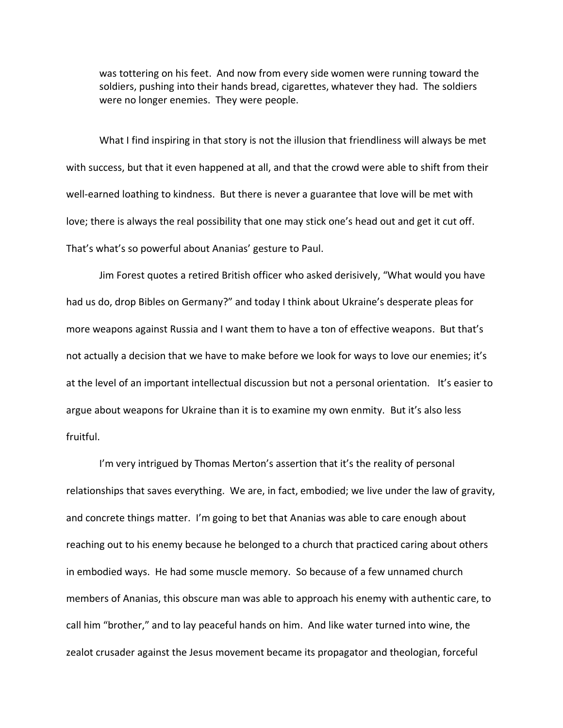was tottering on his feet. And now from every side women were running toward the soldiers, pushing into their hands bread, cigarettes, whatever they had. The soldiers were no longer enemies. They were people.

What I find inspiring in that story is not the illusion that friendliness will always be met with success, but that it even happened at all, and that the crowd were able to shift from their well-earned loathing to kindness. But there is never a guarantee that love will be met with love; there is always the real possibility that one may stick one's head out and get it cut off. That's what's so powerful about Ananias' gesture to Paul.

Jim Forest quotes a retired British officer who asked derisively, "What would you have had us do, drop Bibles on Germany?" and today I think about Ukraine's desperate pleas for more weapons against Russia and I want them to have a ton of effective weapons. But that's not actually a decision that we have to make before we look for ways to love our enemies; it's at the level of an important intellectual discussion but not a personal orientation. It's easier to argue about weapons for Ukraine than it is to examine my own enmity. But it's also less fruitful.

I'm very intrigued by Thomas Merton's assertion that it's the reality of personal relationships that saves everything. We are, in fact, embodied; we live under the law of gravity, and concrete things matter. I'm going to bet that Ananias was able to care enough about reaching out to his enemy because he belonged to a church that practiced caring about others in embodied ways. He had some muscle memory. So because of a few unnamed church members of Ananias, this obscure man was able to approach his enemy with authentic care, to call him "brother," and to lay peaceful hands on him. And like water turned into wine, the zealot crusader against the Jesus movement became its propagator and theologian, forceful